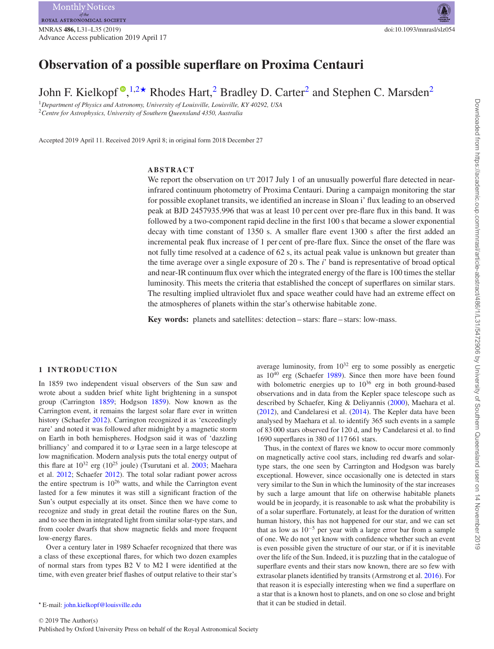# **Observation of a possible superflare on Proxima Centauri**

John F. Kielkopf<sup>®</sup>[,](http://orcid.org/0000-0003-0497-2651)<sup>[1](#page-0-0)[,2](#page-0-1)★</sup> Rhodes Hart,<sup>[2](#page-0-1)</sup> Bradley D. Carter<sup>2</sup> and Stephen C. Marsden<sup>2</sup>

<span id="page-0-1"></span><span id="page-0-0"></span><sup>1</sup>*Department of Physics and Astronomy, University of Louisville, Louisville, KY 40292, USA* <sup>2</sup>*Centre for Astrophysics, University of Southern Queensland 4350, Australia*

Accepted 2019 April 11. Received 2019 April 8; in original form 2018 December 27

### **ABSTRACT**

We report the observation on UT 2017 July 1 of an unusually powerful flare detected in nearinfrared continuum photometry of Proxima Centauri. During a campaign monitoring the star for possible exoplanet transits, we identified an increase in Sloan i' flux leading to an observed peak at BJD 2457935.996 that was at least 10 per cent over pre-flare flux in this band. It was followed by a two-component rapid decline in the first 100 s that became a slower exponential decay with time constant of 1350 s. A smaller flare event 1300 s after the first added an incremental peak flux increase of 1 per cent of pre-flare flux. Since the onset of the flare was not fully time resolved at a cadence of 62 s, its actual peak value is unknown but greater than the time average over a single exposure of 20 s. The *i*' band is representative of broad optical and near-IR continuum flux over which the integrated energy of the flare is 100 times the stellar luminosity. This meets the criteria that established the concept of superflares on similar stars. The resulting implied ultraviolet flux and space weather could have had an extreme effect on the atmospheres of planets within the star's otherwise habitable zone.

**Key words:** planets and satellites: detection – stars: flare – stars: low-mass.

### **1 INTRODUCTION**

In 1859 two independent visual observers of the Sun saw and wrote about a sudden brief white light brightening in a sunspot group (Carrington [1859;](#page-4-0) Hodgson [1859\)](#page-4-1). Now known as the Carrington event, it remains the largest solar flare ever in written history (Schaefer [2012\)](#page-4-2). Carrington recognized it as 'exceedingly rare' and noted it was followed after midnight by a magnetic storm on Earth in both hemispheres. Hodgson said it was of 'dazzling brilliancy' and compared it to *α* Lyrae seen in a large telescope at low magnification. Modern analysis puts the total energy output of this flare at  $10^{32}$  erg ( $10^{25}$  joule) (Tsurutani et al.  $2003$ ; Maehara et al. [2012;](#page-4-4) Schaefer [2012\)](#page-4-2). The total solar radiant power across the entire spectrum is  $10^{26}$  watts, and while the Carrington event lasted for a few minutes it was still a significant fraction of the Sun's output especially at its onset. Since then we have come to recognize and study in great detail the routine flares on the Sun, and to see them in integrated light from similar solar-type stars, and from cooler dwarfs that show magnetic fields and more frequent low-energy flares.

Over a century later in 1989 Schaefer recognized that there was a class of these exceptional flares, for which two dozen examples of normal stars from types B2 V to M2 I were identified at the time, with even greater brief flashes of output relative to their star's

<span id="page-0-2"></span>E-mail: [john.kielkopf@louisville.edu](mailto:john.kielkopf@louisville.edu)

average luminosity, from  $10^{32}$  erg to some possibly as energetic as  $10^{40}$  erg (Schaefer [1989\)](#page-4-5). Since then more have been found with bolometric energies up to  $10^{36}$  erg in both ground-based observations and in data from the Kepler space telescope such as described by Schaefer, King & Deliyannis [\(2000\)](#page-4-6), Maehara et al. [\(2012\)](#page-4-4), and Candelaresi et al. [\(2014\)](#page-4-7). The Kepler data have been analysed by Maehara et al. to identify 365 such events in a sample of 83 000 stars observed for 120 d, and by Candelaresi et al. to find 1690 superflares in 380 of 117 661 stars.

Thus, in the context of flares we know to occur more commonly on magnetically active cool stars, including red dwarfs and solartype stars, the one seen by Carrington and Hodgson was barely exceptional. However, since occasionally one is detected in stars very similar to the Sun in which the luminosity of the star increases by such a large amount that life on otherwise habitable planets would be in jeopardy, it is reasonable to ask what the probability is of a solar superflare. Fortunately, at least for the duration of written human history, this has not happened for our star, and we can set that as low as  $10^{-5}$  per year with a large error bar from a sample of one. We do not yet know with confidence whether such an event is even possible given the structure of our star, or if it is inevitable over the life of the Sun. Indeed, it is puzzling that in the catalogue of superflare events and their stars now known, there are so few with extrasolar planets identified by transits (Armstrong et al. [2016\)](#page-4-8). For that reason it is especially interesting when we find a superflare on a star that is a known host to planets, and on one so close and bright that it can be studied in detail.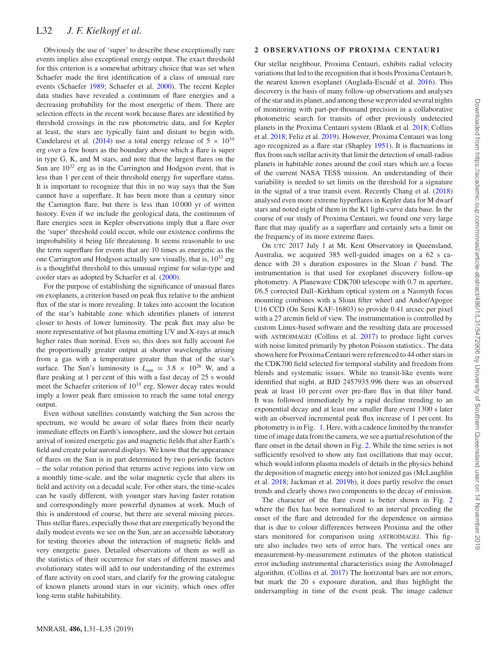Obviously the use of 'super' to describe these exceptionally rare events implies also exceptional energy output. The exact threshold for this criterion is a somewhat arbitrary choice that was set when Schaefer made the first identification of a class of unusual rare events (Schaefer [1989;](#page-4-5) Schaefer et al. [2000\)](#page-4-6). The recent Kepler data studies have revealed a continuum of flare energies and a decreasing probability for the most energetic of them. There are selection effects in the recent work because flares are identified by threshold crossings in the raw photometric data, and for Kepler at least, the stars are typically faint and distant to begin with. Candelaresi et al. [\(2014\)](#page-4-7) use a total energy release of  $5 \times 10^{34}$ erg over a few hours as the boundary above which a flare is super in type G, K, and M stars, and note that the largest flares on the Sun are  $10^{32}$  erg as in the Carrington and Hodgson event, that is less than 1 per cent of their threshold energy for superflare status. It is important to recognize that this in no way says that the Sun cannot have a superflare. It has been more than a century since the Carrington flare, but there is less than 10 000 yr of written history. Even if we include the geological data, the continuum of flare energies seen in Kepler observations imply that a flare over the 'super' threshold could occur, while our existence confirms the improbability it being life threatening. It seems reasonable to use the term superflare for events that are 10 times as energetic as the one Carrington and Hodgson actually saw visually, that is,  $10^{33}$  erg is a thoughtful threshold to this unusual regime for solar-type and cooler stars as adopted by Schaefer et al. [\(2000\)](#page-4-6).

For the purpose of establishing the significance of unusual flares on exoplanets, a criterion based on peak flux relative to the ambient flux of the star is more revealing. It takes into account the location of the star's habitable zone which identifies planets of interest closer to hosts of lower luminosity. The peak flux may also be more representative of hot plasma emitting UV and X-rays at much higher rates than normal. Even so, this does not fully account for the proportionally greater output at shorter wavelengths arising from a gas with a temperature greater than that of the star's surface. The Sun's luminosity is  $L_{sun} = 3.8 \times 10^{26}$  W, and a flare peaking at 1 per cent of this with a fast decay of 25 s would meet the Schaefer criterion of  $10^{33}$  erg. Slower decay rates would imply a lower peak flare emission to reach the same total energy output.

Even without satellites constantly watching the Sun across the spectrum, we would be aware of solar flares from their nearly immediate effects on Earth's ionosphere, and the slower but certain arrival of ionized energetic gas and magnetic fields that alter Earth's field and create polar auroral displays. We know that the appearance of flares on the Sun is in part determined by two periodic factors – the solar rotation period that returns active regions into view on a monthly time-scale, and the solar magnetic cycle that alters its field and activity on a decadal scale. For other stars, the time-scales can be vastly different, with younger stars having faster rotation and correspondingly more powerful dynamos at work. Much of this is understood of course, but there are several missing pieces. Thus stellar flares, especially those that are energetically beyond the daily modest events we see on the Sun, are an accessible laboratory for testing theories about the interaction of magnetic fields and very energetic gases. Detailed observations of them as well as the statistics of their occurrence for stars of different masses and evolutionary states will add to our understanding of the extremes of flare activity on cool stars, and clarify for the growing catalogue of known planets around stars in our vicinity, which ones offer long-term stable habitability.

### **2 OBSERVATIONS OF PROXIMA CENTAURI**

Our stellar neighbour, Proxima Centauri, exhibits radial velocity variations that led to the recognition that it hosts Proxima Centauri b, the nearest known exoplanet (Anglada-Escudé et al. [2016\)](#page-4-9). This discovery is the basis of many follow-up observations and analyses of the star and its planet, and among those we provided several nights of monitoring with part-per-thousand precision in a collaborative photometric search for transits of other previously undetected planets in the Proxima Centauri system (Blank et al. [2018;](#page-4-10) Collins et al. [2018;](#page-4-11) Feliz et al. [2019\)](#page-4-12). However, Proxima Centauri was long ago recognized as a flare star (Shapley [1951\)](#page-4-13). It is fluctuations in flux from such stellar activity that limit the detection of small-radius planets in habitable zones around the cool stars which are a focus of the current NASA TESS mission. An understanding of their variability is needed to set limits on the threshold for a signature in the signal of a true transit event. Recently Chang et al. [\(2018\)](#page-4-14) analysed even more extreme hyperflares in Kepler data for M dwarf stars and noted eight of them in the K1 light-curve data base. In the course of our study of Proxima Centauri, we found one very large flare that may qualify as a superflare and certainly sets a limit on the frequency of its more extreme flares.

On UTC 2017 July 1 at Mt. Kent Observatory in Queensland, Australia, we acquired 385 well-guided images on a 62 s cadence with 20 s duration exposures in the Sloan *i* band. The instrumentation is that used for exoplanet discovery follow-up photometry. A Planewave CDK700 telescope with 0.7 m aperture, f/6.5 corrected Dall–Kirkham optical system on a Nasmyth focus mounting combines with a Sloan filter wheel and Andor/Apogee U16 CCD (On Semi KAF-16803) to provide 0.41 arcsec per pixel with a 27 arcmin field of view. The instrumentation is controlled by custom Linux-based software and the resulting data are processed with ASTROIMAGEJ (Collins et al. [2017\)](#page-4-15) to produce light curves with noise limited primarily by photon Poisson statistics.. The data shown here for Proxima Centauri were referenced to 44 other stars in the CDK700 field selected for temporal stability and freedom from blends and systematic issues. While no transit-like events were identified that night, at BJD 2457935.996 there was an observed peak at least 10 per cent over pre-flare flux in that filter band. It was followed immediately by a rapid decline trending to an exponential decay and at least one smaller flare event 1300 s later with an observed incremental peak flux increase of 1 per cent. Its photometry is in Fig. [1.](#page-2-0) Here, with a cadence limited by the transfer time of image data from the camera, we see a partial resolution of the flare onset in the detail shown in Fig. [2.](#page-2-1) While the time series is not sufficiently resolved to show any fast oscillations that may occur, which would inform plasma models of details in the physics behind the deposition of magnetic energy into hot ionized gas (McLaughlin et al. [2018;](#page-4-16) Jackman et al. [2019b\)](#page-4-17), it does partly resolve the onset trends and clearly shows two components to the decay of emission.

The character of the flare event is better shown in Fig. [2](#page-2-1) where the flux has been normalized to an interval preceding the onset of the flare and detrended for the dependence on airmass that is due to colour differences between Proxima and the other stars monitored for comparison using ASTROIMAGEJ. This figure also includes two sets of error bars. The vertical ones are measurement-by-measurement estimates of the photon statistical error including instrumental characteristics using the AstroImageJ algorithm. (Collins et al. [2017\)](#page-4-15) The horizontal bars are not errors, but mark the 20 s exposure duration, and thus highlight the undersampling in time of the event peak. The image cadence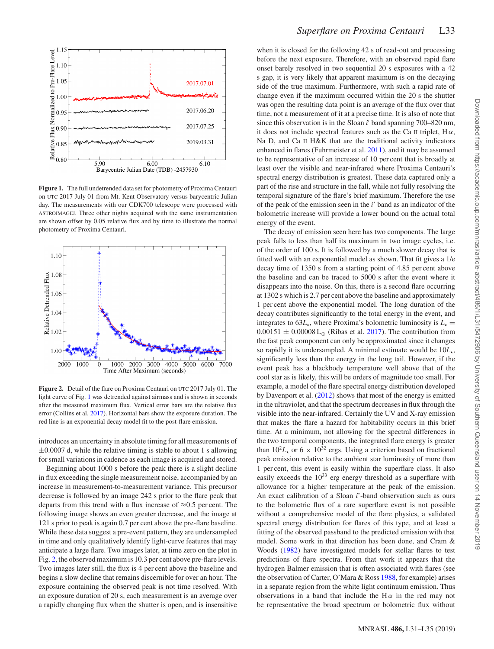<span id="page-2-0"></span>

**Figure 1.** The full undetrended data set for photometry of Proxima Centauri on UTC 2017 July 01 from Mt. Kent Observatory versus barycentric Julian day. The measurements with our CDK700 telescope were processed with ASTROIMAGEJ. Three other nights acquired with the same instrumentation are shown offset by 0.05 relative flux and by time to illustrate the normal photometry of Proxima Centauri.

<span id="page-2-1"></span>

**Figure 2.** Detail of the flare on Proxima Centauri on UTC 2017 July 01. The light curve of Fig. [1](#page-2-0) was detrended against airmass and is shown in seconds after the measured maximum flux. Vertical error bars are the relative flux error (Collins et al. [2017\)](#page-4-15). Horizontal bars show the exposure duration. The red line is an exponential decay model fit to the post-flare emission.

introduces an uncertainty in absolute timing for all measurements of  $\pm 0.0007$  d, while the relative timing is stable to about 1 s allowing for small variations in cadence as each image is acquired and stored.

Beginning about 1000 s before the peak there is a slight decline in flux exceeding the single measurement noise, accompanied by an increase in measurement-to-measurement variance. This precursor decrease is followed by an image 242 s prior to the flare peak that departs from this trend with a flux increase of  $\approx 0.5$  per cent. The following image shows an even greater decrease, and the image at 121 s prior to peak is again 0.7 per cent above the pre-flare baseline. While these data suggest a pre-event pattern, they are undersampled in time and only qualitatively identify light-curve features that may anticipate a large flare. Two images later, at time zero on the plot in Fig. [2,](#page-2-1) the observed maximum is 10.3 per cent above pre-flare levels. Two images later still, the flux is 4 per cent above the baseline and begins a slow decline that remains discernible for over an hour. The exposure containing the observed peak is not time resolved. With an exposure duration of 20 s, each measurement is an average over a rapidly changing flux when the shutter is open, and is insensitive when it is closed for the following 42 s of read-out and processing before the next exposure. Therefore, with an observed rapid flare onset barely resolved in two sequential 20 s exposures with a 42 s gap, it is very likely that apparent maximum is on the decaying side of the true maximum. Furthermore, with such a rapid rate of change even if the maximum occurred within the 20 s the shutter was open the resulting data point is an average of the flux over that time, not a measurement of it at a precise time. It is also of note that since this observation is in the Sloan *i* band spanning 700–820 nm, it does not include spectral features such as the Ca II triplet,  $H\alpha$ , Na D, and Ca II H&K that are the traditional activity indicators enhanced in flares (Fuhrmeister et al. [2011\)](#page-4-18), and it may be assumed to be representative of an increase of 10 per cent that is broadly at least over the visible and near-infrared where Proxima Centauri's spectral energy distribution is greatest. These data captured only a part of the rise and structure in the fall, while not fully resolving the temporal signature of the flare's brief maximum. Therefore the use of the peak of the emission seen in the *i*' band as an indicator of the bolometric increase will provide a lower bound on the actual total energy of the event.

The decay of emission seen here has two components. The large peak falls to less than half its maximum in two image cycles, i.e. of the order of 100 s. It is followed by a much slower decay that is fitted well with an exponential model as shown. That fit gives a 1/e decay time of 1350 s from a starting point of 4.85 per cent above the baseline and can be traced to 5000 s after the event where it disappears into the noise. On this, there is a second flare occurring at 1302 s which is 2.7 per cent above the baseline and approximately 1 per cent above the exponential model. The long duration of the decay contributes significantly to the total energy in the event, and integrates to  $63L_{\star}$ , where Proxima's bolometric luminosity is  $L_{\star} =$  $0.00151 \pm 0.00008$  L<sub>☉</sub> (Ribas et al. [2017\)](#page-4-19). The contribution from the fast peak component can only be approximated since it changes so rapidly it is undersampled. A minimal estimate would be 10*L*, significantly less than the energy in the long tail. However, if the event peak has a blackbody temperature well above that of the cool star as is likely, this will be orders of magnitude too small. For example, a model of the flare spectral energy distribution developed by Davenport et al. [\(2012\)](#page-4-20) shows that most of the energy is emitted in the ultraviolet, and that the spectrum decreases in flux through the visible into the near-infrared. Certainly the UV and X-ray emission that makes the flare a hazard for habitability occurs in this brief time. At a minimum, not allowing for the spectral differences in the two temporal components, the integrated flare energy is greater than  $10^2 L_{\star}$  or 6 ×  $10^{32}$  ergs. Using a criterion based on fractional peak emission relative to the ambient star luminosity of more than 1 per cent, this event is easily within the superflare class. It also easily exceeds the  $10^{33}$  erg energy threshold as a superflare with allowance for a higher temperature at the peak of the emission. An exact calibration of a Sloan *i*'-band observation such as ours to the bolometric flux of a rare superflare event is not possible without a comprehensive model of the flare physics, a validated spectral energy distribution for flares of this type, and at least a fitting of the observed passband to the predicted emission with that model. Some work in that direction has been done, and Cram & Woods [\(1982\)](#page-4-21) have investigated models for stellar flares to test predictions of flare spectra. From that work it appears that the hydrogen Balmer emission that is often associated with flares (see the observation of Carter, O'Mara & Ross [1988,](#page-4-22) for example) arises in a separate region from the white light continuum emission. Thus observations in a band that include the  $H\alpha$  in the red may not be representative the broad spectrum or bolometric flux without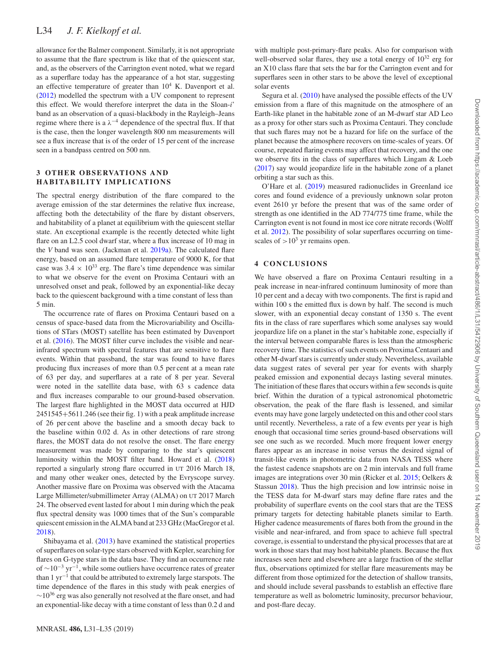## L34 *J. F. Kielkopf et al.*

allowance for the Balmer component. Similarly, it is not appropriate to assume that the flare spectrum is like that of the quiescent star, and, as the observers of the Carrington event noted, what we regard as a superflare today has the appearance of a hot star, suggesting an effective temperature of greater than  $10^4$  K. Davenport et al. [\(2012\)](#page-4-20) modelled the spectrum with a UV component to represent this effect. We would therefore interpret the data in the Sloan-*i*' band as an observation of a quasi-blackbody in the Rayleigh–Jeans regime where there is a  $\lambda^{-4}$  dependence of the spectral flux. If that is the case, then the longer wavelength 800 nm measurements will see a flux increase that is of the order of 15 per cent of the increase seen in a bandpass centred on 500 nm.

### **3 OTHER OBSERVATIONS AND HABITABILITY IMPLICATIONS**

The spectral energy distribution of the flare compared to the average emission of the star determines the relative flux increase, affecting both the detectability of the flare by distant observers, and habitability of a planet at equilibrium with the quiescent stellar state. An exceptional example is the recently detected white light flare on an L2.5 cool dwarf star, where a flux increase of 10 mag in the *V* band was seen. (Jackman et al. [2019a\)](#page-4-23). The calculated flare energy, based on an assumed flare temperature of 9000 K, for that case was  $3.4 \times 10^{33}$  erg. The flare's time dependence was similar to what we observe for the event on Proxima Centauri with an unresolved onset and peak, followed by an exponential-like decay back to the quiescent background with a time constant of less than 5 min.

The occurrence rate of flares on Proxima Centauri based on a census of space-based data from the Microvariability and Oscillations of STars (MOST) satellite has been estimated by Davenport et al. [\(2016\)](#page-4-24). The MOST filter curve includes the visible and nearinfrared spectrum with spectral features that are sensitive to flare events. Within that passband, the star was found to have flares producing flux increases of more than 0.5 per cent at a mean rate of 63 per day, and superflares at a rate of 8 per year. Several were noted in the satellite data base, with 63 s cadence data and flux increases comparable to our ground-based observation. The largest flare highlighted in the MOST data occurred at HJD 2451545+5611.246 (see their fig. [1\)](#page-2-0) with a peak amplitude increase of 26 per cent above the baseline and a smooth decay back to the baseline within 0.02 d. As in other detections of rare strong flares, the MOST data do not resolve the onset. The flare energy measurement was made by comparing to the star's quiescent luminosity within the MOST filter band. Howard et al. [\(2018\)](#page-4-25) reported a singularly strong flare occurred in UT 2016 March 18, and many other weaker ones, detected by the Evryscope survey. Another massive flare on Proxima was observed with the Atacama Large Millimeter/submillimeter Array (ALMA) on UT 2017 March 24. The observed event lasted for about 1 min during which the peak flux spectral density was 1000 times that of the Sun's comparable quiescent emission in the ALMA band at 233 GHz (MacGregor et al. [2018\)](#page-4-26).

Shibayama et al. [\(2013\)](#page-4-27) have examined the statistical properties of superflares on solar-type stars observed with Kepler, searching for flares on G-type stars in the data base. They find an occurrence rate of  $\sim$ 10<sup>-3</sup> yr<sup>-1</sup>, while some outliers have occurrence rates of greater than 1 yr−<sup>1</sup> that could be attributed to extremely large starspots. The time dependence of the flares in this study with peak energies of  $~\sim$ 10<sup>36</sup> erg was also generally not resolved at the flare onset, and had an exponential-like decay with a time constant of less than 0.2 d and

with multiple post-primary-flare peaks. Also for comparison with well-observed solar flares, they use a total energy of  $10^{32}$  erg for an X10 class flare that sets the bar for the Carrington event and for superflares seen in other stars to be above the level of exceptional solar events

Segura et al. [\(2010\)](#page-4-28) have analysed the possible effects of the UV emission from a flare of this magnitude on the atmosphere of an Earth-like planet in the habitable zone of an M-dwarf star AD Leo as a proxy for other stars such as Proxima Centauri. They conclude that such flares may not be a hazard for life on the surface of the planet because the atmosphere recovers on time-scales of years. Of course, repeated flaring events may affect that recovery, and the one we observe fits in the class of superflares which Lingam & Loeb [\(2017\)](#page-4-29) say would jeopardize life in the habitable zone of a planet orbiting a star such as this.

O'Hare et al. [\(2019\)](#page-4-30) measured radionuclides in Greenland ice cores and found evidence of a previously unknown solar proton event 2610 yr before the present that was of the same order of strength as one identified in the AD 774/775 time frame, while the Carrington event is not found in most ice core nitrate records (Wolff et al. [2012\)](#page-4-31). The possibility of solar superflares occurring on timescales of  $>10^3$  yr remains open.

### **4 CONCLUSIONS**

We have observed a flare on Proxima Centauri resulting in a peak increase in near-infrared continuum luminosity of more than 10 per cent and a decay with two components. The first is rapid and within 100 s the emitted flux is down by half. The second is much slower, with an exponential decay constant of 1350 s. The event fits in the class of rare superflares which some analyses say would jeopardize life on a planet in the star's habitable zone, especially if the interval between comparable flares is less than the atmospheric recovery time. The statistics of such events on Proxima Centauri and other M-dwarf stars is currently under study. Nevertheless, available data suggest rates of several per year for events with sharply peaked emission and exponential decays lasting several minutes. The initiation of these flares that occurs within a few seconds is quite brief. Within the duration of a typical astronomical photometric observation, the peak of the flare flash is lessened, and similar events may have gone largely undetected on this and other cool stars until recently. Nevertheless, a rate of a few events per year is high enough that occasional time series ground-based observations will see one such as we recorded. Much more frequent lower energy flares appear as an increase in noise versus the desired signal of transit-like events in photometric data from NASA TESS where the fastest cadence snapshots are on 2 min intervals and full frame images are integrations over 30 min (Ricker et al. [2015;](#page-4-32) Oelkers & Stassun [2018\)](#page-4-33). Thus the high precision and low intrinsic noise in the TESS data for M-dwarf stars may define flare rates and the probability of superflare events on the cool stars that are the TESS primary targets for detecting habitable planets similar to Earth. Higher cadence measurements of flares both from the ground in the visible and near-infrared, and from space to achieve full spectral coverage, is essential to understand the physical processes that are at work in those stars that may host habitable planets. Because the flux increases seen here and elsewhere are a large fraction of the stellar flux, observations optimized for stellar flare measurements may be different from those optimized for the detection of shallow transits, and should include several passbands to establish an effective flare temperature as well as bolometric luminosity, precursor behaviour, and post-flare decay.